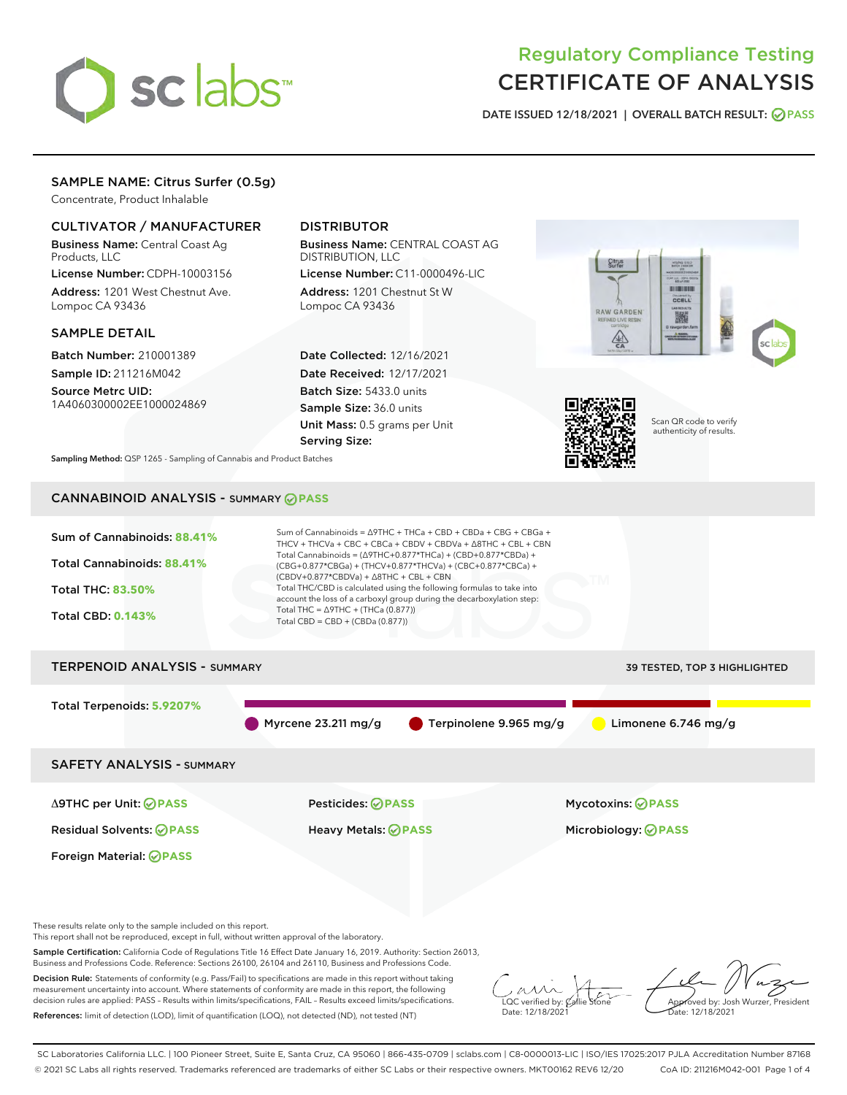

# Regulatory Compliance Testing CERTIFICATE OF ANALYSIS

DATE ISSUED 12/18/2021 | OVERALL BATCH RESULT: @ PASS

# SAMPLE NAME: Citrus Surfer (0.5g)

Concentrate, Product Inhalable

# CULTIVATOR / MANUFACTURER

Business Name: Central Coast Ag Products, LLC

License Number: CDPH-10003156 Address: 1201 West Chestnut Ave. Lompoc CA 93436

#### SAMPLE DETAIL

Batch Number: 210001389 Sample ID: 211216M042

Source Metrc UID: 1A4060300002EE1000024869

# DISTRIBUTOR

Business Name: CENTRAL COAST AG DISTRIBUTION, LLC

License Number: C11-0000496-LIC Address: 1201 Chestnut St W Lompoc CA 93436

Date Collected: 12/16/2021 Date Received: 12/17/2021 Batch Size: 5433.0 units Sample Size: 36.0 units Unit Mass: 0.5 grams per Unit Serving Size:





Scan QR code to verify authenticity of results.

Sampling Method: QSP 1265 - Sampling of Cannabis and Product Batches

# CANNABINOID ANALYSIS - SUMMARY **PASS**



This report shall not be reproduced, except in full, without written approval of the laboratory.

Sample Certification: California Code of Regulations Title 16 Effect Date January 16, 2019. Authority: Section 26013, Business and Professions Code. Reference: Sections 26100, 26104 and 26110, Business and Professions Code.

Decision Rule: Statements of conformity (e.g. Pass/Fail) to specifications are made in this report without taking measurement uncertainty into account. Where statements of conformity are made in this report, the following decision rules are applied: PASS – Results within limits/specifications, FAIL – Results exceed limits/specifications. References: limit of detection (LOD), limit of quantification (LOQ), not detected (ND), not tested (NT)

 $\overline{\text{LOC}}$  verified by:  $\mathcal{C}_i$ Date: 12/18/2021

Approved by: Josh Wurzer, President ate: 12/18/2021

SC Laboratories California LLC. | 100 Pioneer Street, Suite E, Santa Cruz, CA 95060 | 866-435-0709 | sclabs.com | C8-0000013-LIC | ISO/IES 17025:2017 PJLA Accreditation Number 87168 © 2021 SC Labs all rights reserved. Trademarks referenced are trademarks of either SC Labs or their respective owners. MKT00162 REV6 12/20 CoA ID: 211216M042-001 Page 1 of 4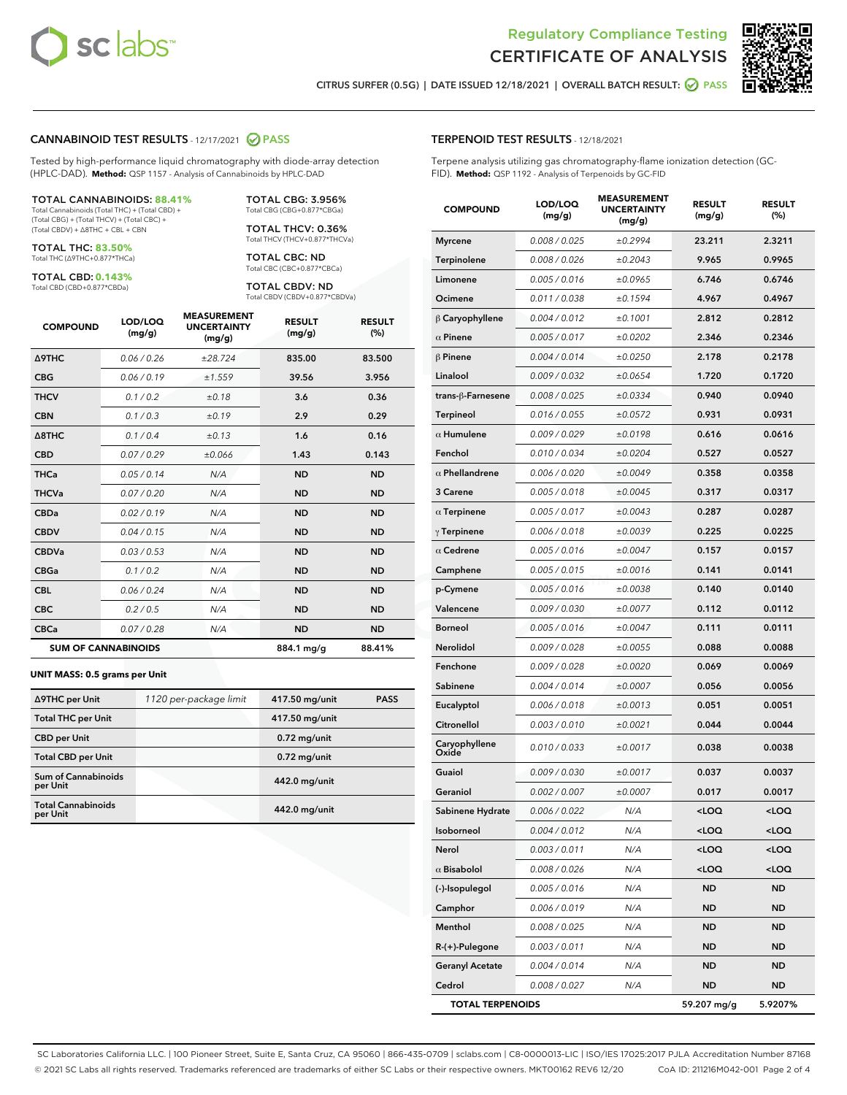



CITRUS SURFER (0.5G) | DATE ISSUED 12/18/2021 | OVERALL BATCH RESULT: 2 PASS

#### CANNABINOID TEST RESULTS - 12/17/2021 2 PASS

Tested by high-performance liquid chromatography with diode-array detection (HPLC-DAD). **Method:** QSP 1157 - Analysis of Cannabinoids by HPLC-DAD

#### TOTAL CANNABINOIDS: **88.41%**

Total Cannabinoids (Total THC) + (Total CBD) + (Total CBG) + (Total THCV) + (Total CBC) + (Total CBDV) + ∆8THC + CBL + CBN

TOTAL THC: **83.50%** Total THC (∆9THC+0.877\*THCa)

TOTAL CBD: **0.143%**

Total CBD (CBD+0.877\*CBDa)

TOTAL CBG: 3.956% Total CBG (CBG+0.877\*CBGa)

TOTAL THCV: 0.36% Total THCV (THCV+0.877\*THCVa)

TOTAL CBC: ND Total CBC (CBC+0.877\*CBCa)

TOTAL CBDV: ND Total CBDV (CBDV+0.877\*CBDVa)

| <b>COMPOUND</b>            | LOD/LOQ<br>(mg/g) | <b>MEASUREMENT</b><br><b>UNCERTAINTY</b><br>(mg/g) | <b>RESULT</b><br>(mg/g) | <b>RESULT</b><br>(%) |
|----------------------------|-------------------|----------------------------------------------------|-------------------------|----------------------|
| <b>A9THC</b>               | 0.06/0.26         | ±28.724                                            | 835.00                  | 83.500               |
| <b>CBG</b>                 | 0.06 / 0.19       | ±1.559                                             | 39.56                   | 3.956                |
| <b>THCV</b>                | 0.1 / 0.2         | ±0.18                                              | 3.6                     | 0.36                 |
| <b>CBN</b>                 | 0.1/0.3           | ±0.19                                              | 2.9                     | 0.29                 |
| $\triangle$ 8THC           | 0.1 / 0.4         | ±0.13                                              | 1.6                     | 0.16                 |
| <b>CBD</b>                 | 0.07/0.29         | ±0.066                                             | 1.43                    | 0.143                |
| <b>THCa</b>                | 0.05/0.14         | N/A                                                | <b>ND</b>               | <b>ND</b>            |
| <b>THCVa</b>               | 0.07 / 0.20       | N/A                                                | <b>ND</b>               | <b>ND</b>            |
| <b>CBDa</b>                | 0.02/0.19         | N/A                                                | <b>ND</b>               | <b>ND</b>            |
| <b>CBDV</b>                | 0.04 / 0.15       | N/A                                                | <b>ND</b>               | <b>ND</b>            |
| <b>CBDVa</b>               | 0.03 / 0.53       | N/A                                                | <b>ND</b>               | <b>ND</b>            |
| <b>CBGa</b>                | 0.1/0.2           | N/A                                                | <b>ND</b>               | <b>ND</b>            |
| <b>CBL</b>                 | 0.06 / 0.24       | N/A                                                | <b>ND</b>               | <b>ND</b>            |
| <b>CBC</b>                 | 0.2 / 0.5         | N/A                                                | <b>ND</b>               | <b>ND</b>            |
| <b>CBCa</b>                | 0.07/0.28         | N/A                                                | <b>ND</b>               | <b>ND</b>            |
| <b>SUM OF CANNABINOIDS</b> |                   |                                                    | 884.1 mg/g              | 88.41%               |

#### **UNIT MASS: 0.5 grams per Unit**

| ∆9THC per Unit                         | 1120 per-package limit | 417.50 mg/unit | <b>PASS</b> |
|----------------------------------------|------------------------|----------------|-------------|
| <b>Total THC per Unit</b>              |                        | 417.50 mg/unit |             |
| <b>CBD</b> per Unit                    |                        | $0.72$ mg/unit |             |
| <b>Total CBD per Unit</b>              |                        | $0.72$ mg/unit |             |
| <b>Sum of Cannabinoids</b><br>per Unit |                        | 442.0 mg/unit  |             |
| <b>Total Cannabinoids</b><br>per Unit  |                        | 442.0 mg/unit  |             |

| <b>COMPOUND</b>         | LOD/LOQ<br>(mg/g) | <b>MEASUREMENT</b><br><b>UNCERTAINTY</b><br>(mg/g) | <b>RESULT</b><br>(mg/g)                         | <b>RESULT</b><br>(%) |
|-------------------------|-------------------|----------------------------------------------------|-------------------------------------------------|----------------------|
| <b>Myrcene</b>          | 0.008 / 0.025     | ±0.2994                                            | 23.211                                          | 2.3211               |
| Terpinolene             | 0.008 / 0.026     | ±0.2043                                            | 9.965                                           | 0.9965               |
| Limonene                | 0.005 / 0.016     | ±0.0965                                            | 6.746                                           | 0.6746               |
| Ocimene                 | 0.011 / 0.038     | ±0.1594                                            | 4.967                                           | 0.4967               |
| $\upbeta$ Caryophyllene | 0.004 / 0.012     | ±0.1001                                            | 2.812                                           | 0.2812               |
| $\alpha$ Pinene         | 0.005 / 0.017     | ±0.0202                                            | 2.346                                           | 0.2346               |
| $\beta$ Pinene          | 0.004 / 0.014     | ±0.0250                                            | 2.178                                           | 0.2178               |
| Linalool                | 0.009 / 0.032     | ±0.0654                                            | 1.720                                           | 0.1720               |
| trans-ß-Farnesene       | 0.008 / 0.025     | ±0.0334                                            | 0.940                                           | 0.0940               |
| <b>Terpineol</b>        | 0.016 / 0.055     | ±0.0572                                            | 0.931                                           | 0.0931               |
| $\alpha$ Humulene       | 0.009 / 0.029     | ±0.0198                                            | 0.616                                           | 0.0616               |
| Fenchol                 | 0.010/0.034       | ±0.0204                                            | 0.527                                           | 0.0527               |
| $\alpha$ Phellandrene   | 0.006 / 0.020     | ±0.0049                                            | 0.358                                           | 0.0358               |
| 3 Carene                | 0.005 / 0.018     | ±0.0045                                            | 0.317                                           | 0.0317               |
| $\alpha$ Terpinene      | 0.005 / 0.017     | ±0.0043                                            | 0.287                                           | 0.0287               |
| $\gamma$ Terpinene      | 0.006 / 0.018     | ±0.0039                                            | 0.225                                           | 0.0225               |
| $\alpha$ Cedrene        | 0.005 / 0.016     | ±0.0047                                            | 0.157                                           | 0.0157               |
| Camphene                | 0.005 / 0.015     | ±0.0016                                            | 0.141                                           | 0.0141               |
| p-Cymene                | 0.005 / 0.016     | ±0.0038                                            | 0.140                                           | 0.0140               |
| Valencene               | 0.009 / 0.030     | ±0.0077                                            | 0.112                                           | 0.0112               |
| <b>Borneol</b>          | 0.005 / 0.016     | ±0.0047                                            | 0.111                                           | 0.0111               |
| Nerolidol               | 0.009 / 0.028     | ±0.0055                                            | 0.088                                           | 0.0088               |
| Fenchone                | 0.009 / 0.028     | ±0.0020                                            | 0.069                                           | 0.0069               |
| Sabinene                | 0.004 / 0.014     | ±0.0007                                            | 0.056                                           | 0.0056               |
| Eucalyptol              | 0.006 / 0.018     | ±0.0013                                            | 0.051                                           | 0.0051               |
| Citronellol             | 0.003 / 0.010     | ±0.0021                                            | 0.044                                           | 0.0044               |
| Caryophyllene<br>Oxide  | 0.010 / 0.033     | ±0.0017                                            | 0.038                                           | 0.0038               |
| Guaiol                  | 0.009 / 0.030     | ±0.0017                                            | 0.037                                           | 0.0037               |
| Geraniol                | 0.002 / 0.007     | ±0.0007                                            | 0.017                                           | 0.0017               |
| Sabinene Hydrate        | 0.006 / 0.022     | N/A                                                | <loq< th=""><th><loq< th=""></loq<></th></loq<> | <loq< th=""></loq<>  |
| Isoborneol              | 0.004 / 0.012     | N/A                                                | $<$ LOQ                                         | $<$ LOQ              |
| Nerol                   | 0.003 / 0.011     | N/A                                                | <loq< th=""><th><loq< th=""></loq<></th></loq<> | <loq< th=""></loq<>  |
| $\alpha$ Bisabolol      | 0.008 / 0.026     | N/A                                                | <loq< th=""><th><loq< th=""></loq<></th></loq<> | <loq< th=""></loq<>  |
| (-)-Isopulegol          | 0.005 / 0.016     | N/A                                                | ND                                              | ND                   |
| Camphor                 | 0.006 / 0.019     | N/A                                                | ND                                              | ND                   |
| Menthol                 | 0.008 / 0.025     | N/A                                                | ND                                              | ND                   |
| $R-(+)$ -Pulegone       | 0.003 / 0.011     | N/A                                                | ND                                              | ND                   |
| <b>Geranyl Acetate</b>  | 0.004 / 0.014     | N/A                                                | ND                                              | ND                   |
| Cedrol                  | 0.008 / 0.027     | N/A                                                | ND                                              | ND                   |
| <b>TOTAL TERPENOIDS</b> |                   |                                                    | 59.207 mg/g                                     | 5.9207%              |

SC Laboratories California LLC. | 100 Pioneer Street, Suite E, Santa Cruz, CA 95060 | 866-435-0709 | sclabs.com | C8-0000013-LIC | ISO/IES 17025:2017 PJLA Accreditation Number 87168 © 2021 SC Labs all rights reserved. Trademarks referenced are trademarks of either SC Labs or their respective owners. MKT00162 REV6 12/20 CoA ID: 211216M042-001 Page 2 of 4

# TERPENOID TEST RESULTS - 12/18/2021

Terpene analysis utilizing gas chromatography-flame ionization detection (GC-FID). **Method:** QSP 1192 - Analysis of Terpenoids by GC-FID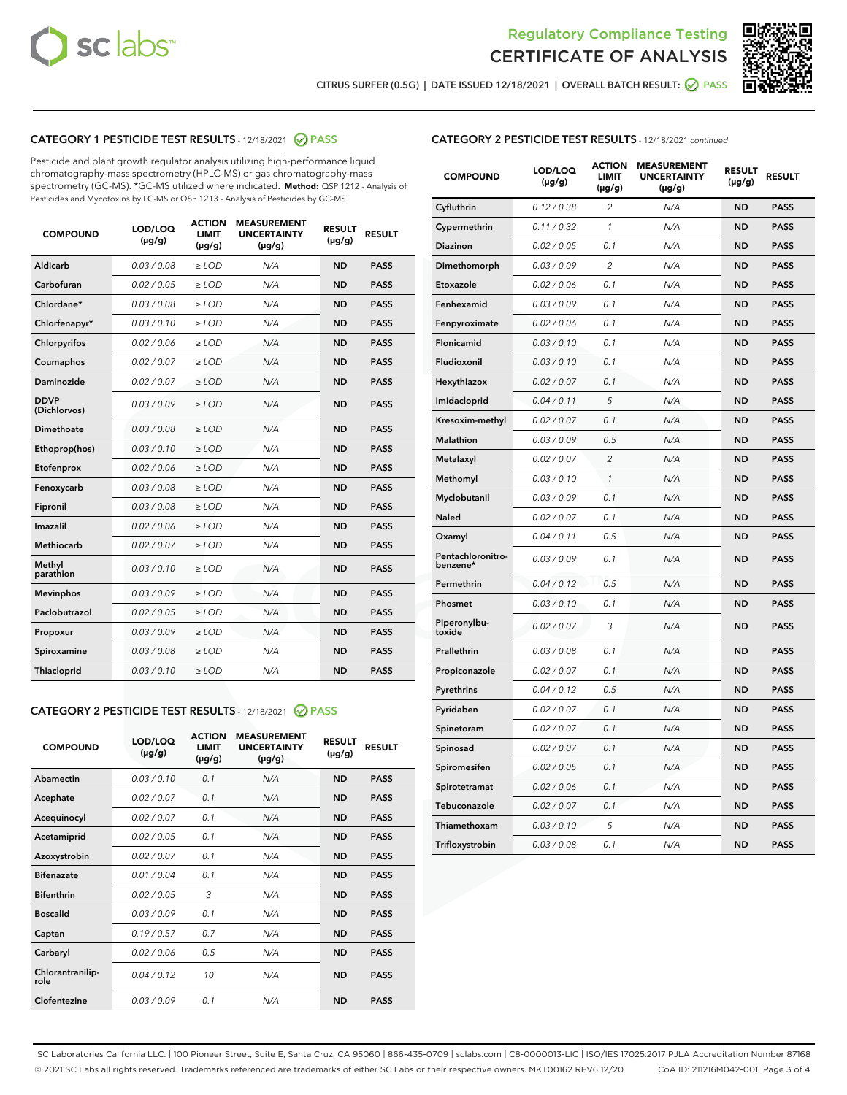



CITRUS SURFER (0.5G) | DATE ISSUED 12/18/2021 | OVERALL BATCH RESULT: ● PASS

# CATEGORY 1 PESTICIDE TEST RESULTS - 12/18/2021 2 PASS

Pesticide and plant growth regulator analysis utilizing high-performance liquid chromatography-mass spectrometry (HPLC-MS) or gas chromatography-mass spectrometry (GC-MS). \*GC-MS utilized where indicated. **Method:** QSP 1212 - Analysis of Pesticides and Mycotoxins by LC-MS or QSP 1213 - Analysis of Pesticides by GC-MS

| <b>COMPOUND</b>             | LOD/LOQ<br>$(\mu g/g)$ | <b>ACTION</b><br><b>LIMIT</b><br>$(\mu g/g)$ | <b>MEASUREMENT</b><br><b>UNCERTAINTY</b><br>$(\mu g/g)$ | <b>RESULT</b><br>$(\mu g/g)$ | <b>RESULT</b> |
|-----------------------------|------------------------|----------------------------------------------|---------------------------------------------------------|------------------------------|---------------|
| Aldicarb                    | 0.03/0.08              | $\ge$ LOD                                    | N/A                                                     | <b>ND</b>                    | <b>PASS</b>   |
| Carbofuran                  | 0.02 / 0.05            | $\ge$ LOD                                    | N/A                                                     | <b>ND</b>                    | <b>PASS</b>   |
| Chlordane*                  | 0.03 / 0.08            | $\ge$ LOD                                    | N/A                                                     | <b>ND</b>                    | <b>PASS</b>   |
| Chlorfenapyr*               | 0.03/0.10              | $\ge$ LOD                                    | N/A                                                     | <b>ND</b>                    | <b>PASS</b>   |
| Chlorpyrifos                | 0.02 / 0.06            | $\ge$ LOD                                    | N/A                                                     | <b>ND</b>                    | <b>PASS</b>   |
| Coumaphos                   | 0.02 / 0.07            | $\ge$ LOD                                    | N/A                                                     | <b>ND</b>                    | <b>PASS</b>   |
| Daminozide                  | 0.02 / 0.07            | $\ge$ LOD                                    | N/A                                                     | <b>ND</b>                    | <b>PASS</b>   |
| <b>DDVP</b><br>(Dichlorvos) | 0.03/0.09              | $>$ LOD                                      | N/A                                                     | <b>ND</b>                    | <b>PASS</b>   |
| Dimethoate                  | 0.03 / 0.08            | $\ge$ LOD                                    | N/A                                                     | <b>ND</b>                    | <b>PASS</b>   |
| Ethoprop(hos)               | 0.03/0.10              | $\ge$ LOD                                    | N/A                                                     | <b>ND</b>                    | <b>PASS</b>   |
| Etofenprox                  | 0.02/0.06              | $>$ LOD                                      | N/A                                                     | <b>ND</b>                    | <b>PASS</b>   |
| Fenoxycarb                  | 0.03/0.08              | $\ge$ LOD                                    | N/A                                                     | <b>ND</b>                    | <b>PASS</b>   |
| Fipronil                    | 0.03/0.08              | $>$ LOD                                      | N/A                                                     | <b>ND</b>                    | <b>PASS</b>   |
| Imazalil                    | 0.02 / 0.06            | $\ge$ LOD                                    | N/A                                                     | <b>ND</b>                    | <b>PASS</b>   |
| Methiocarb                  | 0.02 / 0.07            | $\ge$ LOD                                    | N/A                                                     | <b>ND</b>                    | <b>PASS</b>   |
| Methyl<br>parathion         | 0.03/0.10              | $>$ LOD                                      | N/A                                                     | <b>ND</b>                    | <b>PASS</b>   |
| <b>Mevinphos</b>            | 0.03/0.09              | $>$ LOD                                      | N/A                                                     | <b>ND</b>                    | <b>PASS</b>   |
| Paclobutrazol               | 0.02 / 0.05            | $\ge$ LOD                                    | N/A                                                     | <b>ND</b>                    | <b>PASS</b>   |
| Propoxur                    | 0.03/0.09              | $\ge$ LOD                                    | N/A                                                     | <b>ND</b>                    | <b>PASS</b>   |
| Spiroxamine                 | 0.03 / 0.08            | $\ge$ LOD                                    | N/A                                                     | <b>ND</b>                    | <b>PASS</b>   |
| Thiacloprid                 | 0.03/0.10              | $\ge$ LOD                                    | N/A                                                     | <b>ND</b>                    | <b>PASS</b>   |

#### CATEGORY 2 PESTICIDE TEST RESULTS - 12/18/2021 @ PASS

| <b>COMPOUND</b>          | LOD/LOQ<br>$(\mu g/g)$ | <b>ACTION</b><br><b>LIMIT</b><br>$(\mu g/g)$ | <b>MEASUREMENT</b><br><b>UNCERTAINTY</b><br>$(\mu g/g)$ | <b>RESULT</b><br>$(\mu g/g)$ | <b>RESULT</b> |
|--------------------------|------------------------|----------------------------------------------|---------------------------------------------------------|------------------------------|---------------|
| Abamectin                | 0.03/0.10              | 0.1                                          | N/A                                                     | <b>ND</b>                    | <b>PASS</b>   |
| Acephate                 | 0.02/0.07              | 0.1                                          | N/A                                                     | <b>ND</b>                    | <b>PASS</b>   |
| Acequinocyl              | 0.02/0.07              | 0.1                                          | N/A                                                     | <b>ND</b>                    | <b>PASS</b>   |
| Acetamiprid              | 0.02/0.05              | 0.1                                          | N/A                                                     | <b>ND</b>                    | <b>PASS</b>   |
| Azoxystrobin             | 0 02 / 0 07            | 0.1                                          | N/A                                                     | <b>ND</b>                    | <b>PASS</b>   |
| <b>Bifenazate</b>        | 0.01/0.04              | 0.1                                          | N/A                                                     | <b>ND</b>                    | <b>PASS</b>   |
| <b>Bifenthrin</b>        | 0.02 / 0.05            | 3                                            | N/A                                                     | <b>ND</b>                    | <b>PASS</b>   |
| <b>Boscalid</b>          | 0.03/0.09              | 0.1                                          | N/A                                                     | <b>ND</b>                    | <b>PASS</b>   |
| Captan                   | 0.19/0.57              | 0.7                                          | N/A                                                     | <b>ND</b>                    | <b>PASS</b>   |
| Carbaryl                 | 0.02/0.06              | 0.5                                          | N/A                                                     | <b>ND</b>                    | <b>PASS</b>   |
| Chlorantranilip-<br>role | 0.04/0.12              | 10                                           | N/A                                                     | <b>ND</b>                    | <b>PASS</b>   |
| Clofentezine             | 0.03/0.09              | 0.1                                          | N/A                                                     | <b>ND</b>                    | <b>PASS</b>   |

# CATEGORY 2 PESTICIDE TEST RESULTS - 12/18/2021 continued

| <b>COMPOUND</b>               | LOD/LOQ<br>(µg/g) | <b>ACTION</b><br><b>LIMIT</b><br>$(\mu g/g)$ | <b>MEASUREMENT</b><br><b>UNCERTAINTY</b><br>$(\mu g/g)$ | <b>RESULT</b><br>(µg/g) | <b>RESULT</b> |
|-------------------------------|-------------------|----------------------------------------------|---------------------------------------------------------|-------------------------|---------------|
| Cyfluthrin                    | 0.12 / 0.38       | $\overline{c}$                               | N/A                                                     | <b>ND</b>               | <b>PASS</b>   |
| Cypermethrin                  | 0.11 / 0.32       | 1                                            | N/A                                                     | ND                      | <b>PASS</b>   |
| Diazinon                      | 0.02 / 0.05       | 0.1                                          | N/A                                                     | ND                      | <b>PASS</b>   |
| Dimethomorph                  | 0.03 / 0.09       | 2                                            | N/A                                                     | ND                      | <b>PASS</b>   |
| Etoxazole                     | 0.02 / 0.06       | 0.1                                          | N/A                                                     | <b>ND</b>               | <b>PASS</b>   |
| Fenhexamid                    | 0.03 / 0.09       | 0.1                                          | N/A                                                     | <b>ND</b>               | <b>PASS</b>   |
| Fenpyroximate                 | 0.02 / 0.06       | 0.1                                          | N/A                                                     | ND                      | <b>PASS</b>   |
| Flonicamid                    | 0.03 / 0.10       | 0.1                                          | N/A                                                     | ND                      | <b>PASS</b>   |
| Fludioxonil                   | 0.03 / 0.10       | 0.1                                          | N/A                                                     | <b>ND</b>               | <b>PASS</b>   |
| Hexythiazox                   | 0.02 / 0.07       | 0.1                                          | N/A                                                     | ND                      | <b>PASS</b>   |
| Imidacloprid                  | 0.04 / 0.11       | 5                                            | N/A                                                     | ND                      | <b>PASS</b>   |
| Kresoxim-methyl               | 0.02 / 0.07       | 0.1                                          | N/A                                                     | <b>ND</b>               | <b>PASS</b>   |
| <b>Malathion</b>              | 0.03 / 0.09       | 0.5                                          | N/A                                                     | ND                      | <b>PASS</b>   |
| Metalaxyl                     | 0.02 / 0.07       | $\overline{c}$                               | N/A                                                     | ND                      | <b>PASS</b>   |
| Methomyl                      | 0.03 / 0.10       | 1                                            | N/A                                                     | <b>ND</b>               | <b>PASS</b>   |
| Myclobutanil                  | 0.03 / 0.09       | 0.1                                          | N/A                                                     | ND                      | <b>PASS</b>   |
| Naled                         | 0.02 / 0.07       | 0.1                                          | N/A                                                     | ND                      | <b>PASS</b>   |
| Oxamyl                        | 0.04 / 0.11       | 0.5                                          | N/A                                                     | ND                      | <b>PASS</b>   |
| Pentachloronitro-<br>benzene* | 0.03 / 0.09       | 0.1                                          | N/A                                                     | ND                      | <b>PASS</b>   |
| Permethrin                    | 0.04 / 0.12       | 0.5                                          | N/A                                                     | <b>ND</b>               | <b>PASS</b>   |
| Phosmet                       | 0.03 / 0.10       | 0.1                                          | N/A                                                     | <b>ND</b>               | <b>PASS</b>   |
| Piperonylbu-<br>toxide        | 0.02 / 0.07       | 3                                            | N/A                                                     | ND                      | <b>PASS</b>   |
| Prallethrin                   | 0.03 / 0.08       | 0.1                                          | N/A                                                     | <b>ND</b>               | <b>PASS</b>   |
| Propiconazole                 | 0.02 / 0.07       | 0.1                                          | N/A                                                     | ND                      | <b>PASS</b>   |
| Pyrethrins                    | 0.04 / 0.12       | 0.5                                          | N/A                                                     | ND                      | <b>PASS</b>   |
| Pyridaben                     | 0.02 / 0.07       | 0.1                                          | N/A                                                     | ND                      | <b>PASS</b>   |
| Spinetoram                    | 0.02 / 0.07       | 0.1                                          | N/A                                                     | ND                      | <b>PASS</b>   |
| Spinosad                      | 0.02 / 0.07       | 0.1                                          | N/A                                                     | ND                      | <b>PASS</b>   |
| Spiromesifen                  | 0.02 / 0.05       | 0.1                                          | N/A                                                     | <b>ND</b>               | <b>PASS</b>   |
| Spirotetramat                 | 0.02 / 0.06       | 0.1                                          | N/A                                                     | ND                      | <b>PASS</b>   |
| Tebuconazole                  | 0.02 / 0.07       | 0.1                                          | N/A                                                     | ND                      | <b>PASS</b>   |
| Thiamethoxam                  | 0.03 / 0.10       | 5                                            | N/A                                                     | <b>ND</b>               | <b>PASS</b>   |
| Trifloxystrobin               | 0.03 / 0.08       | 0.1                                          | N/A                                                     | <b>ND</b>               | <b>PASS</b>   |

SC Laboratories California LLC. | 100 Pioneer Street, Suite E, Santa Cruz, CA 95060 | 866-435-0709 | sclabs.com | C8-0000013-LIC | ISO/IES 17025:2017 PJLA Accreditation Number 87168 © 2021 SC Labs all rights reserved. Trademarks referenced are trademarks of either SC Labs or their respective owners. MKT00162 REV6 12/20 CoA ID: 211216M042-001 Page 3 of 4